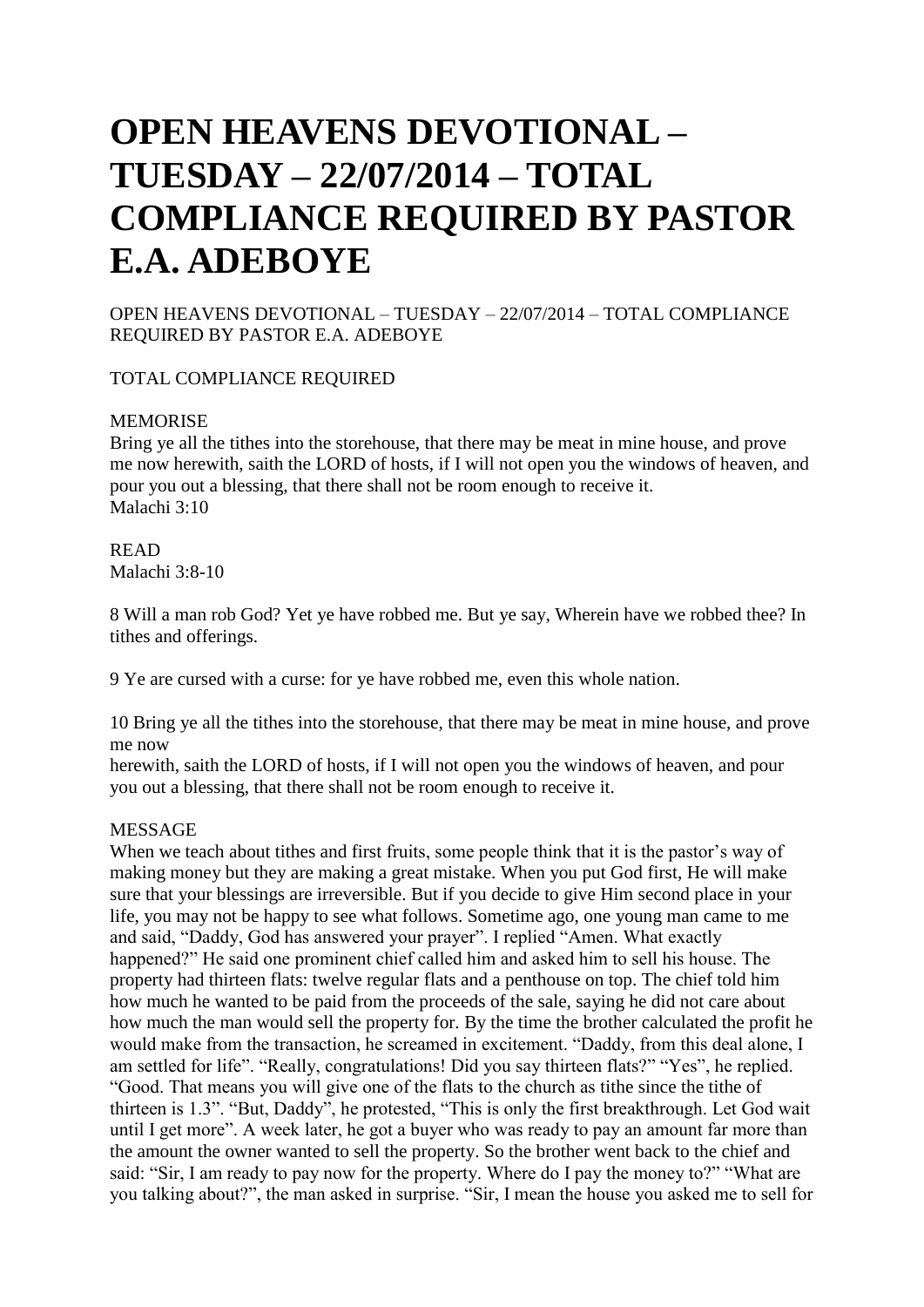# **OPEN HEAVENS DEVOTIONAL – TUESDAY – 22/07/2014 – TOTAL COMPLIANCE REQUIRED BY PASTOR E.A. ADEBOYE**

OPEN HEAVENS DEVOTIONAL – TUESDAY – 22/07/2014 – TOTAL COMPLIANCE REQUIRED BY PASTOR E.A. ADEBOYE

TOTAL COMPLIANCE REQUIRED

## MEMORISE

Bring ye all the tithes into the storehouse, that there may be meat in mine house, and prove me now herewith, saith the LORD of hosts, if I will not open you the windows of heaven, and pour you out a blessing, that there shall not be room enough to receive it. Malachi 3:10

# READ

Malachi 3:8-10

8 Will a man rob God? Yet ye have robbed me. But ye say, Wherein have we robbed thee? In tithes and offerings.

9 Ye are cursed with a curse: for ye have robbed me, even this whole nation.

10 Bring ye all the tithes into the storehouse, that there may be meat in mine house, and prove me now

herewith, saith the LORD of hosts, if I will not open you the windows of heaven, and pour you out a blessing, that there shall not be room enough to receive it.

#### MESSAGE

When we teach about tithes and first fruits, some people think that it is the pastor's way of making money but they are making a great mistake. When you put God first, He will make sure that your blessings are irreversible. But if you decide to give Him second place in your life, you may not be happy to see what follows. Sometime ago, one young man came to me and said, "Daddy, God has answered your prayer". I replied "Amen. What exactly happened?" He said one prominent chief called him and asked him to sell his house. The property had thirteen flats: twelve regular flats and a penthouse on top. The chief told him how much he wanted to be paid from the proceeds of the sale, saying he did not care about how much the man would sell the property for. By the time the brother calculated the profit he would make from the transaction, he screamed in excitement. "Daddy, from this deal alone, I am settled for life". "Really, congratulations! Did you say thirteen flats?" "Yes", he replied. "Good. That means you will give one of the flats to the church as tithe since the tithe of thirteen is 1.3". "But, Daddy", he protested, "This is only the first breakthrough. Let God wait until I get more". A week later, he got a buyer who was ready to pay an amount far more than the amount the owner wanted to sell the property. So the brother went back to the chief and said: "Sir, I am ready to pay now for the property. Where do I pay the money to?" "What are you talking about?", the man asked in surprise. "Sir, I mean the house you asked me to sell for